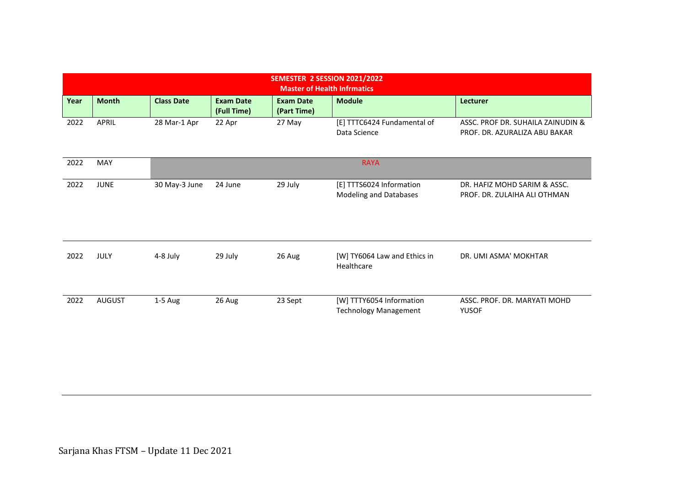| SEMESTER 2 SESSION 2021/2022<br><b>Master of Health Infrmatics</b> |               |                   |                                 |                                 |                                                          |                                                                    |  |  |  |  |
|--------------------------------------------------------------------|---------------|-------------------|---------------------------------|---------------------------------|----------------------------------------------------------|--------------------------------------------------------------------|--|--|--|--|
| Year                                                               | <b>Month</b>  | <b>Class Date</b> | <b>Exam Date</b><br>(Full Time) | <b>Exam Date</b><br>(Part Time) | <b>Module</b>                                            | Lecturer                                                           |  |  |  |  |
| 2022                                                               | APRIL         | 28 Mar-1 Apr      | 22 Apr                          | 27 May                          | [E] TTTC6424 Fundamental of<br>Data Science              | ASSC. PROF DR. SUHAILA ZAINUDIN &<br>PROF. DR. AZURALIZA ABU BAKAR |  |  |  |  |
| 2022                                                               | MAY           |                   |                                 |                                 | <b>RAYA</b>                                              |                                                                    |  |  |  |  |
| 2022                                                               | <b>JUNE</b>   | 30 May-3 June     | 24 June                         | 29 July                         | [E] TTTS6024 Information<br>Modeling and Databases       | DR. HAFIZ MOHD SARIM & ASSC.<br>PROF. DR. ZULAIHA ALI OTHMAN       |  |  |  |  |
| 2022                                                               | JULY          | 4-8 July          | 29 July                         | 26 Aug                          | [W] TY6064 Law and Ethics in<br>Healthcare               | DR. UMI ASMA' MOKHTAR                                              |  |  |  |  |
| 2022                                                               | <b>AUGUST</b> | $1-5$ Aug         | 26 Aug                          | 23 Sept                         | [W] TTTY6054 Information<br><b>Technology Management</b> | ASSC. PROF. DR. MARYATI MOHD<br><b>YUSOF</b>                       |  |  |  |  |